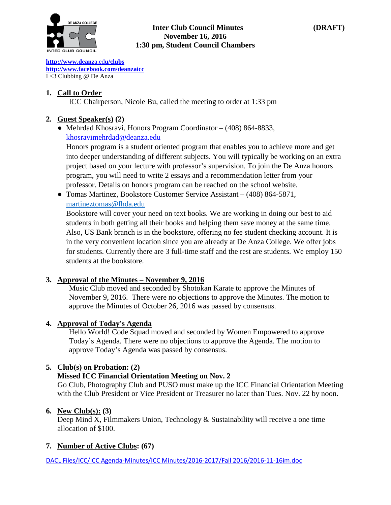

#### **Inter Club Council Minutes (DRAFT) November 16, 2016 1:30 pm, Student Council Chambers**

**[http://www.deanz](http://www.deanza.edu/clubs)**[a.ed](http://www.deanza.edu/clubs)**[u/clubs](http://www.deanza.edu/clubs) [http://www.facebook.com/deanzaicc](http://www.facebook.com/home.php#!/group.php?gid=59034552686)** I <3 Clubbing @ De Anza

## **1. Call to Order**

ICC Chairperson, Nicole Bu, called the meeting to order at 1:33 pm

## **2. Guest Speaker(s) (2)**

● Mehrdad Khosravi, Honors Program Coordinator – (408) 864-8833, [khosravimehrdad@deanza.edu](mailto:khosravimehrdad@deanza.edu)

Honors program is a student oriented program that enables you to achieve more and get into deeper understanding of different subjects. You will typically be working on an extra project based on your lecture with professor's supervision. To join the De Anza honors program, you will need to write 2 essays and a recommendation letter from your professor. Details on honors program can be reached on the school website.

● Tomas Martinez, Bookstore Customer Service Assistant – (408) 864-5871, [martineztomas@fhda.edu](mailto:martineztomas@fhda.edu)

Bookstore will cover your need on text books. We are working in doing our best to aid students in both getting all their books and helping them save money at the same time. Also, US Bank branch is in the bookstore, offering no fee student checking account. It is in the very convenient location since you are already at De Anza College. We offer jobs for students. Currently there are 3 full-time staff and the rest are students. We employ 150 students at the bookstore.

### **3. Approval of the Minutes – November 9, 2016**

Music Club moved and seconded by Shotokan Karate to approve the Minutes of November 9, 2016. There were no objections to approve the Minutes. The motion to approve the Minutes of October 26, 2016 was passed by consensus.

### **4. Approval of Today's Agenda**

Hello World! Code Squad moved and seconded by Women Empowered to approve Today's Agenda. There were no objections to approve the Agenda. The motion to approve Today's Agenda was passed by consensus.

### **5. Club(s) on Probation: (2)**

### **Missed ICC Financial Orientation Meeting on Nov. 2**

Go Club, Photography Club and PUSO must make up the ICC Financial Orientation Meeting with the Club President or Vice President or Treasurer no later than Tues. Nov. 22 by noon.

### **6. New Club(s): (3)**

Deep Mind X, Filmmakers Union, Technology & Sustainability will receive a one time allocation of \$100.

### **7. Number of Active Clubs: (67)**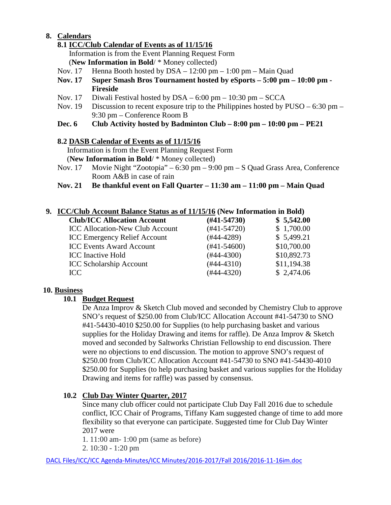## **8. Calendars**

## **8.1 ICC/Club Calendar of Events as of 11/15/16**

Information is from the Event Planning Request Form

(**New Information in Bold**/ \* Money collected)

- Nov. 17 Henna Booth hosted by DSA 12:00 pm 1:00 pm Main Quad
- **Nov. 17 Super Smash Bros Tournament hosted by eSports – 5:00 pm – 10:00 pm - Fireside**
- Nov. 17 Diwali Festival hosted by DSA 6:00 pm 10:30 pm SCCA
- Nov. 19 Discussion to recent exposure trip to the Philippines hosted by  $PUSO 6:30$  pm 9:30 pm – Conference Room B
- **Dec. 6 Club Activity hosted by Badminton Club – 8:00 pm – 10:00 pm – PE21**

### **8.2 DASB Calendar of Events as of 11/15/16**

Information is from the Event Planning Request Form (**New Information in Bold**/ \* Money collected)

- Nov. 17 Movie Night "Zootopia" 6:30 pm 9:00 pm S Quad Grass Area, Conference Room A&B in case of rain
- **Nov. 21 Be thankful event on Fall Quarter – 11:30 am – 11:00 pm – Main Quad**

## **9. ICC/Club Account Balance Status as of 11/15/16 (New Information in Bold)**

| <b>Club/ICC Allocation Account</b>     | $(\#41 - 54730)$ | \$5,542.00  |  |
|----------------------------------------|------------------|-------------|--|
| <b>ICC Allocation-New Club Account</b> | $(#41-54720)$    | \$1,700.00  |  |
| <b>ICC Emergency Relief Account</b>    | $(#44-4289)$     | \$5,499.21  |  |
| <b>ICC Events Award Account</b>        | $(#41-54600)$    | \$10,700.00 |  |
| <b>ICC</b> Inactive Hold               | $(#44-4300)$     | \$10,892.73 |  |
| <b>ICC Scholarship Account</b>         | $(#44-4310)$     | \$11,194.38 |  |
| ICC.                                   | $(#44-4320)$     | \$2,474.06  |  |
|                                        |                  |             |  |

### **10. Business**

### **10.1 Budget Request**

De Anza Improv & Sketch Club moved and seconded by Chemistry Club to approve SNO's request of \$250.00 from Club/ICC Allocation Account #41-54730 to SNO #41-54430-4010 \$250.00 for Supplies (to help purchasing basket and various supplies for the Holiday Drawing and items for raffle). De Anza Improv & Sketch moved and seconded by Saltworks Christian Fellowship to end discussion. There were no objections to end discussion. The motion to approve SNO's request of \$250.00 from Club/ICC Allocation Account #41-54730 to SNO #41-54430-4010 \$250.00 for Supplies (to help purchasing basket and various supplies for the Holiday Drawing and items for raffle) was passed by consensus.

### **10.2 Club Day Winter Quarter, 2017**

Since many club officer could not participate Club Day Fall 2016 due to schedule conflict, ICC Chair of Programs, Tiffany Kam suggested change of time to add more flexibility so that everyone can participate. Suggested time for Club Day Winter 2017 were

1. 11:00 am- 1:00 pm (same as before)

2. 10:30 - 1:20 pm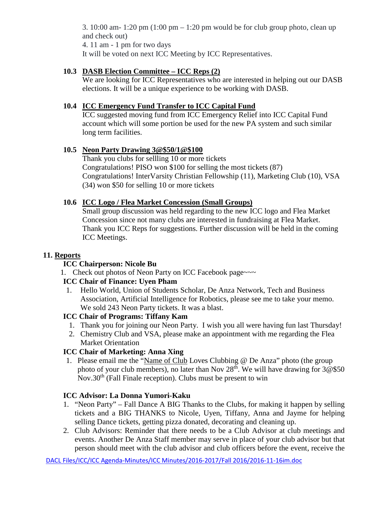3. 10:00 am- 1:20 pm  $(1:00 \text{ pm} - 1:20 \text{ pm}$  would be for club group photo, clean up and check out) 4. 11 am - 1 pm for two days

It will be voted on next ICC Meeting by ICC Representatives.

## **10.3 DASB Election Committee – ICC Reps (2)**

We are looking for ICC Representatives who are interested in helping out our DASB elections. It will be a unique experience to be working with DASB.

## **10.4 ICC Emergency Fund Transfer to ICC Capital Fund**

ICC suggested moving fund from ICC Emergency Relief into ICC Capital Fund account which will some portion be used for the new PA system and such similar long term facilities.

### **10.5 Neon Party Drawing 3@\$50/1@\$100**

Thank you clubs for sellling 10 or more tickets Congratulations! PISO won \$100 for selling the most tickets (87) Congratulations! InterVarsity Christian Fellowship (11), Marketing Club (10), VSA (34) won \$50 for selling 10 or more tickets

### **10.6 ICC Logo / Flea Market Concession (Small Groups)**

Small group discussion was held regarding to the new ICC logo and Flea Market Concession since not many clubs are interested in fundraising at Flea Market. Thank you ICC Reps for suggestions. Further discussion will be held in the coming ICC Meetings.

## **11. Reports**

### **ICC Chairperson: Nicole Bu**

1. Check out photos of Neon Party on ICC Facebook page~~~

### **ICC Chair of Finance: Uyen Pham**

1. Hello World, Union of Students Scholar, De Anza Network, Tech and Business Association, Artificial Intelligence for Robotics, please see me to take your memo. We sold 243 Neon Party tickets. It was a blast.

# **ICC Chair of Programs: Tiffany Kam**

- 1. Thank you for joining our Neon Party. I wish you all were having fun last Thursday!
- 2. Chemistry Club and VSA, please make an appointment with me regarding the Flea Market Orientation

# **ICC Chair of Marketing: Anna Xing**

1. Please email me the "Name of Club Loves Clubbing @ De Anza" photo (the group photo of your club members), no later than Nov  $28<sup>th</sup>$ . We will have drawing for  $3@\$50$ Nov.30<sup>th</sup> (Fall Finale reception). Clubs must be present to win

### **ICC Advisor: La Donna Yumori-Kaku**

- 1. "Neon Party" Fall Dance A BIG Thanks to the Clubs, for making it happen by selling tickets and a BIG THANKS to Nicole, Uyen, Tiffany, Anna and Jayme for helping selling Dance tickets, getting pizza donated, decorating and cleaning up.
- 2. Club Advisors: Reminder that there needs to be a Club Advisor at club meetings and events. Another De Anza Staff member may serve in place of your club advisor but that person should meet with the club advisor and club officers before the event, receive the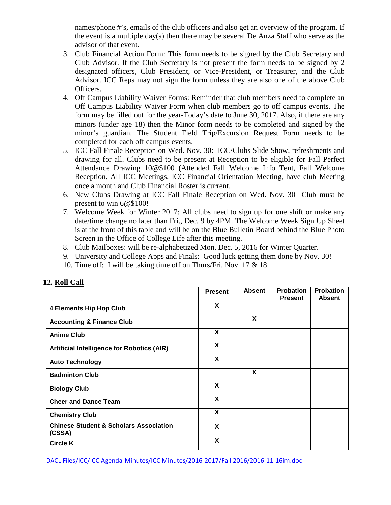names/phone #'s, emails of the club officers and also get an overview of the program. If the event is a multiple day(s) then there may be several De Anza Staff who serve as the advisor of that event.

- 3. Club Financial Action Form: This form needs to be signed by the Club Secretary and Club Advisor. If the Club Secretary is not present the form needs to be signed by 2 designated officers, Club President, or Vice-President, or Treasurer, and the Club Advisor. ICC Reps may not sign the form unless they are also one of the above Club Officers.
- 4. Off Campus Liability Waiver Forms: Reminder that club members need to complete an Off Campus Liability Waiver Form when club members go to off campus events. The form may be filled out for the year-Today's date to June 30, 2017. Also, if there are any minors (under age 18) then the Minor form needs to be completed and signed by the minor's guardian. The Student Field Trip/Excursion Request Form needs to be completed for each off campus events.
- 5. ICC Fall Finale Reception on Wed. Nov. 30: ICC/Clubs Slide Show, refreshments and drawing for all. Clubs need to be present at Reception to be eligible for Fall Perfect Attendance Drawing 10@\$100 (Attended Fall Welcome Info Tent, Fall Welcome Reception, All ICC Meetings, ICC Financial Orientation Meeting, have club Meeting once a month and Club Financial Roster is current.
- 6. New Clubs Drawing at ICC Fall Finale Reception on Wed. Nov. 30 Club must be present to win 6@\$100!
- 7. Welcome Week for Winter 2017: All clubs need to sign up for one shift or make any date/time change no later than Fri., Dec. 9 by 4PM. The Welcome Week Sign Up Sheet is at the front of this table and will be on the Blue Bulletin Board behind the Blue Photo Screen in the Office of College Life after this meeting.
- 8. Club Mailboxes: will be re-alphabetized Mon. Dec. 5, 2016 for Winter Quarter.
- 9. University and College Apps and Finals: Good luck getting them done by Nov. 30!
- 10. Time off: I will be taking time off on Thurs/Fri. Nov. 17 & 18.

|                                                             | <b>Present</b> | <b>Absent</b> | <b>Probation</b><br><b>Present</b> | <b>Probation</b><br><b>Absent</b> |
|-------------------------------------------------------------|----------------|---------------|------------------------------------|-----------------------------------|
| <b>4 Elements Hip Hop Club</b>                              | X              |               |                                    |                                   |
| <b>Accounting &amp; Finance Club</b>                        |                | X             |                                    |                                   |
| <b>Anime Club</b>                                           | X              |               |                                    |                                   |
| <b>Artificial Intelligence for Robotics (AIR)</b>           | X              |               |                                    |                                   |
| <b>Auto Technology</b>                                      | X              |               |                                    |                                   |
| <b>Badminton Club</b>                                       |                | X             |                                    |                                   |
| <b>Biology Club</b>                                         | X              |               |                                    |                                   |
| <b>Cheer and Dance Team</b>                                 | X              |               |                                    |                                   |
| <b>Chemistry Club</b>                                       | X              |               |                                    |                                   |
| <b>Chinese Student &amp; Scholars Association</b><br>(CSSA) | X              |               |                                    |                                   |
| <b>Circle K</b>                                             | X              |               |                                    |                                   |

#### **12. Roll Call**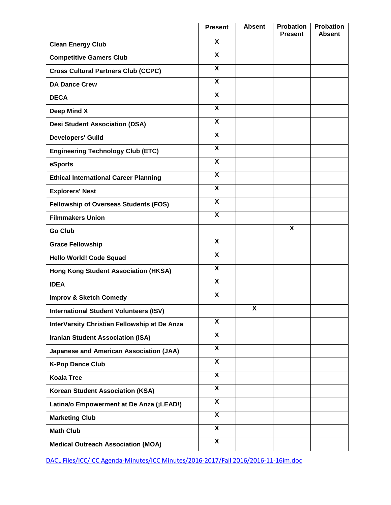|                                                | <b>Present</b>            | <b>Absent</b>           | <b>Probation</b><br><b>Present</b> | <b>Probation</b><br><b>Absent</b> |
|------------------------------------------------|---------------------------|-------------------------|------------------------------------|-----------------------------------|
| <b>Clean Energy Club</b>                       | X                         |                         |                                    |                                   |
| <b>Competitive Gamers Club</b>                 | $\boldsymbol{\mathsf{X}}$ |                         |                                    |                                   |
| <b>Cross Cultural Partners Club (CCPC)</b>     | X                         |                         |                                    |                                   |
| <b>DA Dance Crew</b>                           | X                         |                         |                                    |                                   |
| <b>DECA</b>                                    | X                         |                         |                                    |                                   |
| Deep Mind X                                    | X                         |                         |                                    |                                   |
| <b>Desi Student Association (DSA)</b>          | X                         |                         |                                    |                                   |
| <b>Developers' Guild</b>                       | X                         |                         |                                    |                                   |
| <b>Engineering Technology Club (ETC)</b>       | X                         |                         |                                    |                                   |
| eSports                                        | X                         |                         |                                    |                                   |
| <b>Ethical International Career Planning</b>   | $\overline{\mathbf{X}}$   |                         |                                    |                                   |
| <b>Explorers' Nest</b>                         | $\boldsymbol{\mathsf{X}}$ |                         |                                    |                                   |
| <b>Fellowship of Overseas Students (FOS)</b>   | X                         |                         |                                    |                                   |
| <b>Filmmakers Union</b>                        | $\boldsymbol{\mathsf{X}}$ |                         |                                    |                                   |
| <b>Go Club</b>                                 |                           |                         | $\overline{\mathbf{x}}$            |                                   |
| <b>Grace Fellowship</b>                        | X                         |                         |                                    |                                   |
| Hello World! Code Squad                        | X                         |                         |                                    |                                   |
| <b>Hong Kong Student Association (HKSA)</b>    | X                         |                         |                                    |                                   |
| <b>IDEA</b>                                    | $\boldsymbol{\mathsf{X}}$ |                         |                                    |                                   |
| <b>Improv &amp; Sketch Comedy</b>              | $\boldsymbol{\mathsf{X}}$ |                         |                                    |                                   |
| <b>International Student Volunteers (ISV)</b>  |                           | $\overline{\mathbf{X}}$ |                                    |                                   |
| InterVarsity Christian Fellowship at De Anza   | X                         |                         |                                    |                                   |
| <b>Iranian Student Association (ISA)</b>       | $\overline{\mathbf{x}}$   |                         |                                    |                                   |
| <b>Japanese and American Association (JAA)</b> | X                         |                         |                                    |                                   |
| <b>K-Pop Dance Club</b>                        | $\overline{\mathbf{x}}$   |                         |                                    |                                   |
| <b>Koala Tree</b>                              | X                         |                         |                                    |                                   |
| <b>Korean Student Association (KSA)</b>        | X                         |                         |                                    |                                   |
| Latina/o Empowerment at De Anza (¡LEAD!)       | X                         |                         |                                    |                                   |
| <b>Marketing Club</b>                          | $\overline{\mathbf{X}}$   |                         |                                    |                                   |
| <b>Math Club</b>                               | X                         |                         |                                    |                                   |
| <b>Medical Outreach Association (MOA)</b>      | $\overline{\mathbf{X}}$   |                         |                                    |                                   |